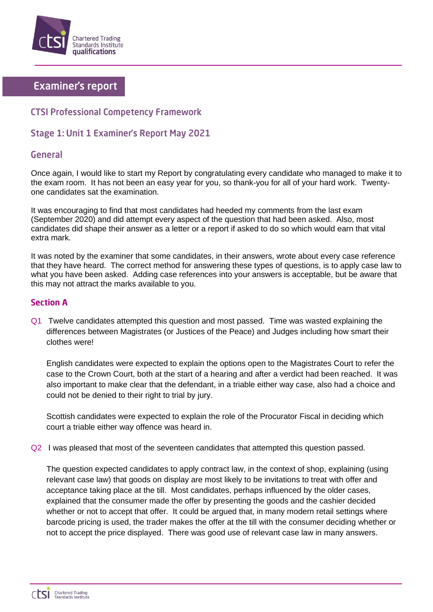

# **Examiner's report**

## **CTSI Professional Competency Framework**

## **Stage 1: Unit 1 Examiner's Report May 2021**

### **General**

Once again, I would like to start my Report by congratulating every candidate who managed to make it to the exam room. It has not been an easy year for you, so thank-you for all of your hard work. Twentyone candidates sat the examination.

It was encouraging to find that most candidates had heeded my comments from the last exam (September 2020) and did attempt every aspect of the question that had been asked. Also, most candidates did shape their answer as a letter or a report if asked to do so which would earn that vital extra mark.

It was noted by the examiner that some candidates, in their answers, wrote about every case reference that they have heard. The correct method for answering these types of questions, is to apply case law to what you have been asked. Adding case references into your answers is acceptable, but be aware that this may not attract the marks available to you.

#### **Section A**

Q1 Twelve candidates attempted this question and most passed. Time was wasted explaining the differences between Magistrates (or Justices of the Peace) and Judges including how smart their clothes were!

English candidates were expected to explain the options open to the Magistrates Court to refer the case to the Crown Court, both at the start of a hearing and after a verdict had been reached. It was also important to make clear that the defendant, in a triable either way case, also had a choice and could not be denied to their right to trial by jury.

Scottish candidates were expected to explain the role of the Procurator Fiscal in deciding which court a triable either way offence was heard in.

Q2 I was pleased that most of the seventeen candidates that attempted this question passed.

The question expected candidates to apply contract law, in the context of shop, explaining (using relevant case law) that goods on display are most likely to be invitations to treat with offer and acceptance taking place at the till. Most candidates, perhaps influenced by the older cases, explained that the consumer made the offer by presenting the goods and the cashier decided whether or not to accept that offer. It could be argued that, in many modern retail settings where barcode pricing is used, the trader makes the offer at the till with the consumer deciding whether or not to accept the price displayed. There was good use of relevant case law in many answers.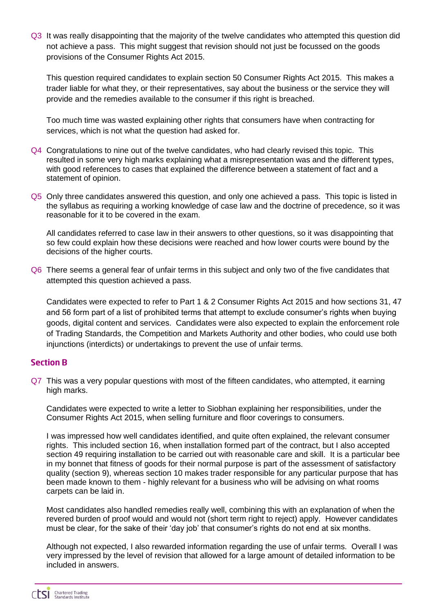Q3 It was really disappointing that the majority of the twelve candidates who attempted this question did not achieve a pass. This might suggest that revision should not just be focussed on the goods provisions of the Consumer Rights Act 2015.

This question required candidates to explain section 50 Consumer Rights Act 2015. This makes a trader liable for what they, or their representatives, say about the business or the service they will provide and the remedies available to the consumer if this right is breached.

Too much time was wasted explaining other rights that consumers have when contracting for services, which is not what the question had asked for.

- Q4 Congratulations to nine out of the twelve candidates, who had clearly revised this topic. This resulted in some very high marks explaining what a misrepresentation was and the different types, with good references to cases that explained the difference between a statement of fact and a statement of opinion.
- Q5 Only three candidates answered this question, and only one achieved a pass. This topic is listed in the syllabus as requiring a working knowledge of case law and the doctrine of precedence, so it was reasonable for it to be covered in the exam.

All candidates referred to case law in their answers to other questions, so it was disappointing that so few could explain how these decisions were reached and how lower courts were bound by the decisions of the higher courts.

Q6 There seems a general fear of unfair terms in this subject and only two of the five candidates that attempted this question achieved a pass.

Candidates were expected to refer to Part 1 & 2 Consumer Rights Act 2015 and how sections 31, 47 and 56 form part of a list of prohibited terms that attempt to exclude consumer's rights when buying goods, digital content and services. Candidates were also expected to explain the enforcement role of Trading Standards, the Competition and Markets Authority and other bodies, who could use both injunctions (interdicts) or undertakings to prevent the use of unfair terms.

#### **Section B**

Q7 This was a very popular questions with most of the fifteen candidates, who attempted, it earning high marks.

Candidates were expected to write a letter to Siobhan explaining her responsibilities, under the Consumer Rights Act 2015, when selling furniture and floor coverings to consumers.

I was impressed how well candidates identified, and quite often explained, the relevant consumer rights. This included section 16, when installation formed part of the contract, but I also accepted section 49 requiring installation to be carried out with reasonable care and skill. It is a particular bee in my bonnet that fitness of goods for their normal purpose is part of the assessment of satisfactory quality (section 9), whereas section 10 makes trader responsible for any particular purpose that has been made known to them - highly relevant for a business who will be advising on what rooms carpets can be laid in.

Most candidates also handled remedies really well, combining this with an explanation of when the revered burden of proof would and would not (short term right to reject) apply. However candidates must be clear, for the sake of their 'day job' that consumer's rights do not end at six months.

Although not expected, I also rewarded information regarding the use of unfair terms. Overall I was very impressed by the level of revision that allowed for a large amount of detailed information to be included in answers.

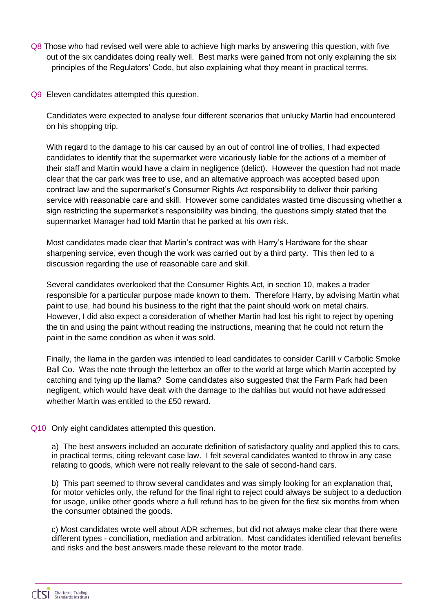- Q8 Those who had revised well were able to achieve high marks by answering this question, with five out of the six candidates doing really well. Best marks were gained from not only explaining the six principles of the Regulators' Code, but also explaining what they meant in practical terms.
- Q9 Eleven candidates attempted this question.

Candidates were expected to analyse four different scenarios that unlucky Martin had encountered on his shopping trip.

With regard to the damage to his car caused by an out of control line of trollies, I had expected candidates to identify that the supermarket were vicariously liable for the actions of a member of their staff and Martin would have a claim in negligence (delict). However the question had not made clear that the car park was free to use, and an alternative approach was accepted based upon contract law and the supermarket's Consumer Rights Act responsibility to deliver their parking service with reasonable care and skill. However some candidates wasted time discussing whether a sign restricting the supermarket's responsibility was binding, the questions simply stated that the supermarket Manager had told Martin that he parked at his own risk.

Most candidates made clear that Martin's contract was with Harry's Hardware for the shear sharpening service, even though the work was carried out by a third party. This then led to a discussion regarding the use of reasonable care and skill.

Several candidates overlooked that the Consumer Rights Act, in section 10, makes a trader responsible for a particular purpose made known to them. Therefore Harry, by advising Martin what paint to use, had bound his business to the right that the paint should work on metal chairs. However, I did also expect a consideration of whether Martin had lost his right to reject by opening the tin and using the paint without reading the instructions, meaning that he could not return the paint in the same condition as when it was sold.

Finally, the llama in the garden was intended to lead candidates to consider Carlill v Carbolic Smoke Ball Co. Was the note through the letterbox an offer to the world at large which Martin accepted by catching and tying up the llama? Some candidates also suggested that the Farm Park had been negligent, which would have dealt with the damage to the dahlias but would not have addressed whether Martin was entitled to the £50 reward.

Q10 Only eight candidates attempted this question.

a) The best answers included an accurate definition of satisfactory quality and applied this to cars, in practical terms, citing relevant case law. I felt several candidates wanted to throw in any case relating to goods, which were not really relevant to the sale of second-hand cars.

b) This part seemed to throw several candidates and was simply looking for an explanation that, for motor vehicles only, the refund for the final right to reject could always be subject to a deduction for usage, unlike other goods where a full refund has to be given for the first six months from when the consumer obtained the goods.

c) Most candidates wrote well about ADR schemes, but did not always make clear that there were different types - conciliation, mediation and arbitration. Most candidates identified relevant benefits and risks and the best answers made these relevant to the motor trade.